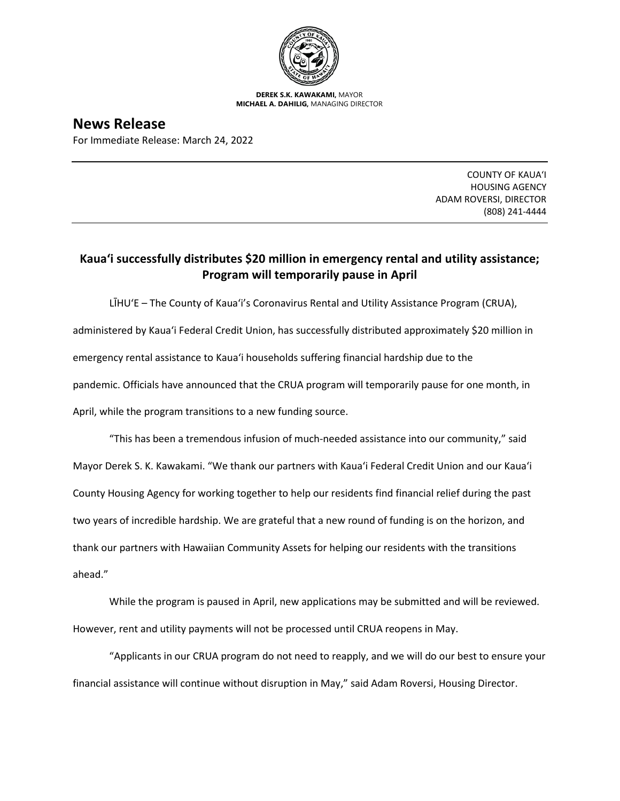

**DEREK S.K. KAWAKAMI,** MAYOR **MICHAEL A. DAHILIG,** MANAGING DIRECTOR

**News Release** For Immediate Release: March 24, 2022

> COUNTY OF KAUA'I HOUSING AGENCY ADAM ROVERSI, DIRECTOR (808) 241-4444

## **Kaua'i successfully distributes \$20 million in emergency rental and utility assistance; Program will temporarily pause in April**

LĪHU'E – The County of Kaua'i's Coronavirus Rental and Utility Assistance Program (CRUA), administered by Kaua'i Federal Credit Union, has successfully distributed approximately \$20 million in emergency rental assistance to Kaua'i households suffering financial hardship due to the pandemic. Officials have announced that the CRUA program will temporarily pause for one month, in April, while the program transitions to a new funding source.

"This has been a tremendous infusion of much-needed assistance into our community," said Mayor Derek S. K. Kawakami. "We thank our partners with Kaua'i Federal Credit Union and our Kaua'i County Housing Agency for working together to help our residents find financial relief during the past two years of incredible hardship. We are grateful that a new round of funding is on the horizon, and thank our partners with Hawaiian Community Assets for helping our residents with the transitions ahead."

While the program is paused in April, new applications may be submitted and will be reviewed. However, rent and utility payments will not be processed until CRUA reopens in May.

"Applicants in our CRUA program do not need to reapply, and we will do our best to ensure your financial assistance will continue without disruption in May," said Adam Roversi, Housing Director.